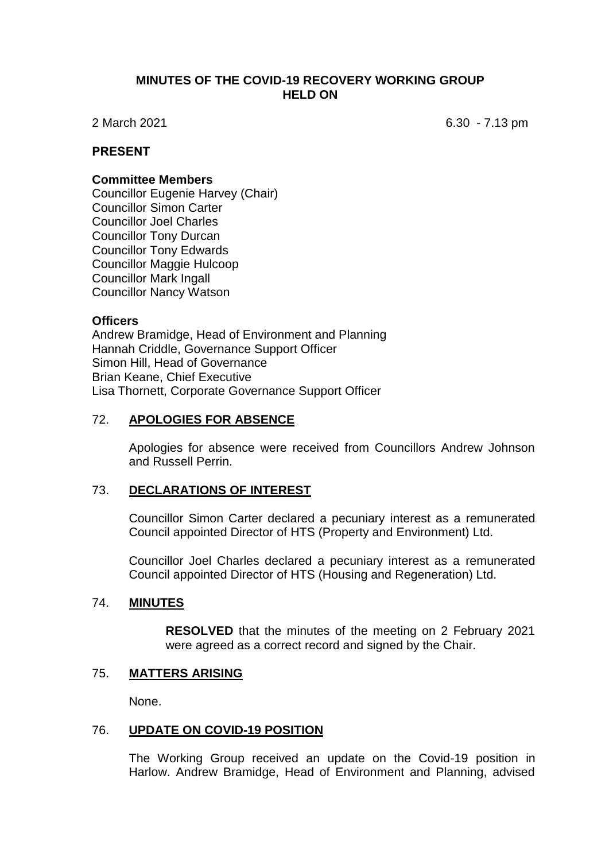## **MINUTES OF THE COVID-19 RECOVERY WORKING GROUP HELD ON**

2 March 2021 6.30 - 7.13 pm

## **PRESENT**

#### **Committee Members**

Councillor Eugenie Harvey (Chair) Councillor Simon Carter Councillor Joel Charles Councillor Tony Durcan Councillor Tony Edwards Councillor Maggie Hulcoop Councillor Mark Ingall Councillor Nancy Watson

### **Officers**

Andrew Bramidge, Head of Environment and Planning Hannah Criddle, Governance Support Officer Simon Hill, Head of Governance Brian Keane, Chief Executive Lisa Thornett, Corporate Governance Support Officer

### 72. **APOLOGIES FOR ABSENCE**

Apologies for absence were received from Councillors Andrew Johnson and Russell Perrin.

## 73. **DECLARATIONS OF INTEREST**

Councillor Simon Carter declared a pecuniary interest as a remunerated Council appointed Director of HTS (Property and Environment) Ltd.

Councillor Joel Charles declared a pecuniary interest as a remunerated Council appointed Director of HTS (Housing and Regeneration) Ltd.

### 74. **MINUTES**

**RESOLVED** that the minutes of the meeting on 2 February 2021 were agreed as a correct record and signed by the Chair.

## 75. **MATTERS ARISING**

None.

#### 76. **UPDATE ON COVID-19 POSITION**

The Working Group received an update on the Covid-19 position in Harlow. Andrew Bramidge, Head of Environment and Planning, advised